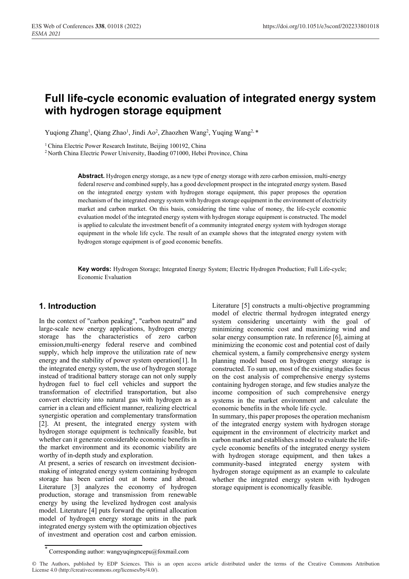# **Full life-cycle economic evaluation of integrated energy system with hydrogen storage equipment**

Yuqiong Zhang<sup>1</sup>, Qiang Zhao<sup>1</sup>, Jindi Ao<sup>2</sup>, Zhaozhen Wang<sup>2</sup>, Yuqing Wang<sup>2, \*</sup>

<sup>1</sup> China Electric Power Research Institute, Beijing 100192, China<br><sup>2</sup> North China Electric Power University, Baoding 071000, Hebei Province, China

**Abstract.** Hydrogen energy storage, as a new type of energy storage with zero carbon emission, multi-energy federal reserve and combined supply, has a good development prospect in the integrated energy system. Based on the integrated energy system with hydrogen storage equipment, this paper proposes the operation mechanism of the integrated energy system with hydrogen storage equipment in the environment of electricity market and carbon market. On this basis, considering the time value of money, the life-cycle economic evaluation model of the integrated energy system with hydrogen storage equipment is constructed. The model is applied to calculate the investment benefit of a community integrated energy system with hydrogen storage equipment in the whole life cycle. The result of an example shows that the integrated energy system with hydrogen storage equipment is of good economic benefits.

**Key words:** Hydrogen Storage; Integrated Energy System; Electric Hydrogen Production; Full Life-cycle; Economic Evaluation

### **1. Introduction**

In the context of "carbon peaking", "carbon neutral" and large-scale new energy applications, hydrogen energy storage has the characteristics of zero carbon emission,multi-energy federal reserve and combined supply, which help improve the utilization rate of new energy and the stability of power system operation[1]. In the integrated energy system, the use of hydrogen storage instead of traditional battery storage can not only supply hydrogen fuel to fuel cell vehicles and support the transformation of electrified transportation, but also convert electricity into natural gas with hydrogen as a carrier in a clean and efficient manner, realizing electrical synergistic operation and complementary transformation [2]. At present, the integrated energy system with hydrogen storage equipment is technically feasible, but whether can it generate considerable economic benefits in the market environment and its economic viability are worthy of in-depth study and exploration.

At present, a series of research on investment decisionmaking of integrated energy system containing hydrogen storage has been carried out at home and abroad. Literature [3] analyzes the economy of hydrogen production, storage and transmission from renewable energy by using the levelized hydrogen cost analysis model. Literature [4] puts forward the optimal allocation model of hydrogen energy storage units in the park integrated energy system with the optimization objectives of investment and operation cost and carbon emission.

Literature [5] constructs a multi-objective programming model of electric thermal hydrogen integrated energy system considering uncertainty with the goal of minimizing economic cost and maximizing wind and solar energy consumption rate. In reference [6], aiming at minimizing the economic cost and potential cost of daily chemical system, a family comprehensive energy system planning model based on hydrogen energy storage is constructed. To sum up, most of the existing studies focus on the cost analysis of comprehensive energy systems containing hydrogen storage, and few studies analyze the income composition of such comprehensive energy systems in the market environment and calculate the economic benefits in the whole life cycle. In summary, this paper proposes the operation mechanism

of the integrated energy system with hydrogen storage equipment in the environment of electricity market and carbon market and establishes a model to evaluate the lifecycle economic benefits of the integrated energy system with hydrogen storage equipment, and then takes a community-based integrated energy system with hydrogen storage equipment as an example to calculate whether the integrated energy system with hydrogen storage equipment is economically feasible.

<sup>\*</sup> Corresponding author: wangyuqingncepu@foxmail.com

<sup>©</sup> The Authors, published by EDP Sciences. This is an open access article distributed under the terms of the Creative Commons Attribution License 4.0 (http://creativecommons.org/licenses/by/4.0/).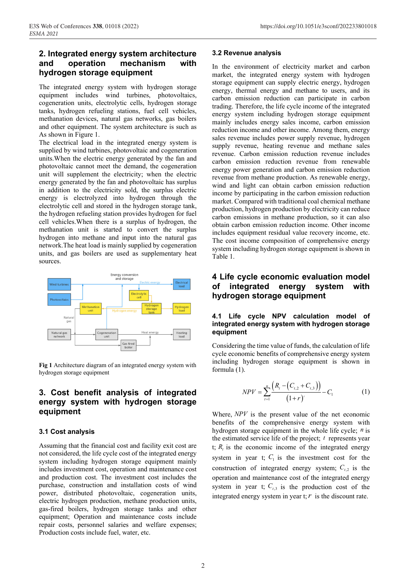## **2. Integrated energy system architecture and operation mechanism with hydrogen storage equipment**

The integrated energy system with hydrogen storage equipment includes wind turbines, photovoltaics, cogeneration units, electrolytic cells, hydrogen storage tanks, hydrogen refueling stations, fuel cell vehicles, methanation devices, natural gas networks, gas boilers and other equipment. The system architecture is such as As shown in Figure 1.

The electrical load in the integrated energy system is supplied by wind turbines, photovoltaic and cogeneration units.When the electric energy generated by the fan and photovoltaic cannot meet the demand, the cogeneration unit will supplement the electricity; when the electric energy generated by the fan and photovoltaic has surplus in addition to the electricity sold, the surplus electric energy is electrolyzed into hydrogen through the electrolytic cell and stored in the hydrogen storage tank, the hydrogen refueling station provides hydrogen for fuel cell vehicles.When there is a surplus of hydrogen, the methanation unit is started to convert the surplus hydrogen into methane and input into the natural gas network.The heat load is mainly supplied by cogeneration units, and gas boilers are used as supplementary heat sources.



**Fig 1** Architecture diagram of an integrated energy system with hydrogen storage equipment

### **3. Cost benefit analysis of integrated energy system with hydrogen storage equipment**

#### **3.1 Cost analysis**

Assuming that the financial cost and facility exit cost are not considered, the life cycle cost of the integrated energy system including hydrogen storage equipment mainly includes investment cost, operation and maintenance cost and production cost. The investment cost includes the purchase, construction and installation costs of wind power, distributed photovoltaic, cogeneration units, electric hydrogen production, methane production units, gas-fired boilers, hydrogen storage tanks and other equipment; Operation and maintenance costs include repair costs, personnel salaries and welfare expenses; Production costs include fuel, water, etc.

#### **3.2 Revenue analysis**

In the environment of electricity market and carbon market, the integrated energy system with hydrogen storage equipment can supply electric energy, hydrogen energy, thermal energy and methane to users, and its carbon emission reduction can participate in carbon trading. Therefore, the life cycle income of the integrated energy system including hydrogen storage equipment mainly includes energy sales income, carbon emission reduction income and other income. Among them, energy sales revenue includes power supply revenue, hydrogen supply revenue, heating revenue and methane sales revenue. Carbon emission reduction revenue includes carbon emission reduction revenue from renewable energy power generation and carbon emission reduction revenue from methane production. As renewable energy, wind and light can obtain carbon emission reduction income by participating in the carbon emission reduction market. Compared with traditional coal chemical methane production, hydrogen production by electricity can reduce carbon emissions in methane production, so it can also obtain carbon emission reduction income. Other income includes equipment residual value recovery income, etc. The cost income composition of comprehensive energy system including hydrogen storage equipment is shown in Table 1.

### **4 Life cycle economic evaluation model of integrated energy system with hydrogen storage equipment**

#### **4.1 Life cycle NPV calculation model of integrated energy system with hydrogen storage equipment**

Considering the time value of funds, the calculation of life cycle economic benefits of comprehensive energy system including hydrogen storage equipment is shown in formula (1).

$$
NPV = \sum_{t=1}^{n} \frac{\left(R_t - \left(C_{t,2} + C_{t,3}\right)\right)}{\left(1 + r\right)^t} - C_1 \tag{1}
$$

Where, *NPV* is the present value of the net economic benefits of the comprehensive energy system with hydrogen storage equipment in the whole life cycle; *n* is the estimated service life of the project; *t* represents year t;  $R<sub>t</sub>$  is the economic income of the integrated energy system in year t;  $C_1$  is the investment cost for the construction of integrated energy system;  $C_{t,2}$  is the operation and maintenance cost of the integrated energy system in year t;  $C_{t,3}$  is the production cost of the integrated energy system in year t;  $r$  is the discount rate.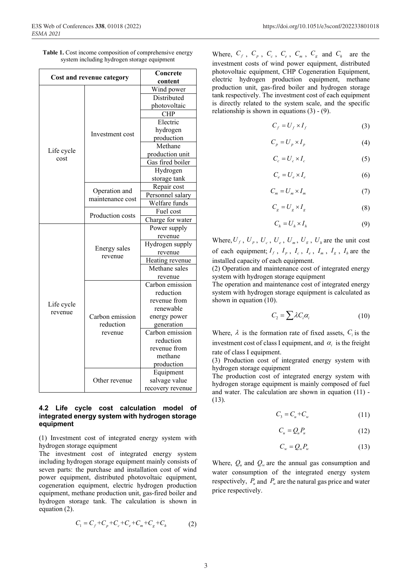| Table 1. Cost income composition of comprehensive energy |  |  |
|----------------------------------------------------------|--|--|
| system including hydrogen storage equipment              |  |  |

| Cost and revenue category |                         | Concrete         |  |
|---------------------------|-------------------------|------------------|--|
|                           |                         | content          |  |
|                           |                         | Wind power       |  |
|                           |                         | Distributed      |  |
|                           |                         | photovoltaic     |  |
|                           |                         | <b>CHP</b>       |  |
|                           | Investment cost         | Electric         |  |
|                           |                         | hydrogen         |  |
|                           |                         | production       |  |
|                           |                         | Methane          |  |
| Life cycle                |                         | production unit  |  |
| cost                      |                         | Gas fired boiler |  |
|                           |                         | Hydrogen         |  |
|                           |                         | storage tank     |  |
|                           |                         | Repair cost      |  |
|                           | Operation and           | Personnel salary |  |
|                           | maintenance cost        | Welfare funds    |  |
|                           |                         | Fuel cost        |  |
|                           | Production costs        | Charge for water |  |
|                           |                         | Power supply     |  |
|                           | Energy sales<br>revenue | revenue          |  |
|                           |                         | Hydrogen supply  |  |
|                           |                         | revenue          |  |
|                           |                         | Heating revenue  |  |
|                           |                         | Methane sales    |  |
|                           |                         | revenue          |  |
|                           |                         | Carbon emission  |  |
|                           |                         | reduction        |  |
| Life cycle                |                         | revenue from     |  |
|                           |                         | renewable        |  |
| revenue                   | Carbon emission         | energy power     |  |
|                           | reduction               | generation       |  |
|                           | revenue                 | Carbon emission  |  |
|                           |                         | reduction        |  |
|                           |                         | revenue from     |  |
|                           |                         | methane          |  |
|                           |                         | production       |  |
|                           |                         | Equipment        |  |
|                           | Other revenue           | salvage value    |  |
|                           |                         | recovery revenue |  |

#### **4.2 Life cycle cost calculation model of integrated energy system with hydrogen storage equipment**

(1) Investment cost of integrated energy system with hydrogen storage equipment

The investment cost of integrated energy system including hydrogen storage equipment mainly consists of seven parts: the purchase and installation cost of wind power equipment, distributed photovoltaic equipment, cogeneration equipment, electric hydrogen production equipment, methane production unit, gas-fired boiler and hydrogen storage tank. The calculation is shown in equation (2).

$$
C_1 = C_f + C_p + C_c + C_e + C_m + C_g + C_h \tag{2}
$$

Where,  $C_f$ ,  $C_p$ ,  $C_c$ ,  $C_e$ ,  $C_m$ ,  $C_g$  and  $C_h$  are the investment costs of wind power equipment, distributed photovoltaic equipment, CHP Cogeneration Equipment, electric hydrogen production equipment, methane production unit, gas-fired boiler and hydrogen storage tank respectively. The investment cost of each equipment is directly related to the system scale, and the specific relationship is shown in equations (3) - (9).

$$
C_f = U_f \times I_f \tag{3}
$$

$$
C_p = U_p \times I_p \tag{4}
$$

$$
C_c = U_c \times I_c \tag{5}
$$

$$
C_e = U_e \times I_e \tag{6}
$$

$$
C_m = U_m \times I_m \tag{7}
$$

$$
C_g = U_g \times I_g \tag{8}
$$

$$
C_h = U_h \times I_h \tag{9}
$$

Where,  $U_f$ ,  $U_p$ ,  $U_c$ ,  $U_e$ ,  $U_m$ ,  $U_g$ ,  $U_h$  are the unit cost of each equipment;  $I_f$ ,  $I_p$ ,  $I_c$ ,  $I_e$ ,  $I_m$ ,  $I_g$ ,  $I_h$  are the installed capacity of each equipment.

(2) Operation and maintenance cost of integrated energy system with hydrogen storage equipment

The operation and maintenance cost of integrated energy system with hydrogen storage equipment is calculated as shown in equation (10).

$$
C_2 = \sum \lambda C_i \alpha_i \tag{10}
$$

Where,  $\lambda$  is the formation rate of fixed assets,  $C_i$  is the investment cost of class I equipment, and  $\alpha_i$  is the freight rate of class I equipment.

(3) Production cost of integrated energy system with hydrogen storage equipment

The production cost of integrated energy system with hydrogen storage equipment is mainly composed of fuel and water. The calculation are shown in equation (11) - (13).

$$
C_3 = C_u + C_w \tag{11}
$$

$$
C_u = Q_u P_u \tag{12}
$$

$$
C_w = Q_w P_w \tag{13}
$$

Where,  $Q_u$  and  $Q_w$  are the annual gas consumption and water consumption of the integrated energy system respectively,  $P_{\mu}$  and  $P_{\nu}$  are the natural gas price and water price respectively.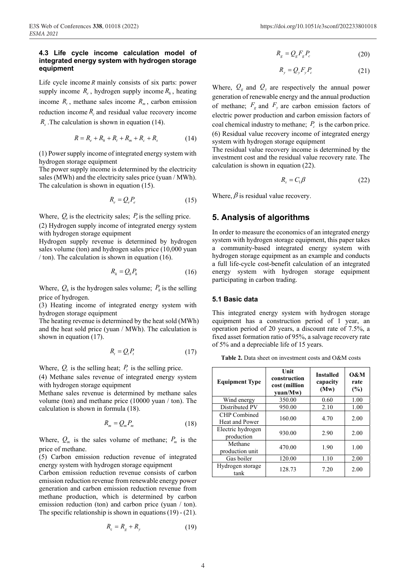#### **4.3 Life cycle income calculation model of integrated energy system with hydrogen storage equipment**

Life cycle income *R* mainly consists of six parts: power supply income  $R_e$ , hydrogen supply income  $R_h$ , heating income  $R_t$ , methane sales income  $R_m$ , carbon emission reduction income  $R_c$  and residual value recovery income *R<sub>s</sub>*. The calculation is shown in equation (14).

$$
R = R_e + R_h + R_t + R_m + R_c + R_s \tag{14}
$$

(1) Power supply income of integrated energy system with hydrogen storage equipment

The power supply income is determined by the electricity sales (MWh) and the electricity sales price (yuan / MWh). The calculation is shown in equation (15).

$$
R_e = Q_e P_e \tag{15}
$$

Where,  $Q_e$  is the electricity sales;  $P_e$  is the selling price.

(2) Hydrogen supply income of integrated energy system with hydrogen storage equipment

Hydrogen supply revenue is determined by hydrogen sales volume (ton) and hydrogen sales price (10,000 yuan / ton). The calculation is shown in equation (16).

$$
R_h = Q_h P_h \tag{16}
$$

Where,  $Q_h$  is the hydrogen sales volume;  $P_h$  is the selling price of hydrogen.

(3) Heating income of integrated energy system with hydrogen storage equipment

The heating revenue is determined by the heat sold (MWh) and the heat sold price (yuan / MWh). The calculation is shown in equation (17).

$$
R_t = Q_t P_t \tag{17}
$$

Where,  $Q_t$  is the selling heat;  $P_t$  is the selling price.

(4) Methane sales revenue of integrated energy system with hydrogen storage equipment

Methane sales revenue is determined by methane sales volume (ton) and methane price (10000 yuan / ton). The calculation is shown in formula (18).

$$
R_m = Q_m P_m \tag{18}
$$

Where,  $Q_m$  is the sales volume of methane;  $P_m$  is the price of methane.

(5) Carbon emission reduction revenue of integrated energy system with hydrogen storage equipment

Carbon emission reduction revenue consists of carbon emission reduction revenue from renewable energy power generation and carbon emission reduction revenue from methane production, which is determined by carbon emission reduction (ton) and carbon price (yuan / ton). The specific relationship is shown in equations (19) - (21).

$$
R_{\rm c} = R_{\rm g} + R_{\rm y} \tag{19}
$$

$$
R_g = Q_g F_g P_c \tag{20}
$$

$$
R_{y} = Q_{y} F_{y} P_{c} \tag{21}
$$

Where,  $Q_g$  and  $Q_y$  are respectively the annual power generation of renewable energy and the annual production of methane;  $F_g$  and  $F_v$  are carbon emission factors of electric power production and carbon emission factors of coal chemical industry to methane;  $P_c$  is the carbon price. (6) Residual value recovery income of integrated energy system with hydrogen storage equipment

The residual value recovery income is determined by the investment cost and the residual value recovery rate. The calculation is shown in equation (22).

$$
R_s = C_1 \beta \tag{22}
$$

Where,  $\beta$  is residual value recovery.

### **5. Analysis of algorithms**

In order to measure the economics of an integrated energy system with hydrogen storage equipment, this paper takes a community-based integrated energy system with hydrogen storage equipment as an example and conducts a full life-cycle cost-benefit calculation of an integrated energy system with hydrogen storage equipment participating in carbon trading.

#### **5.1 Basic data**

This integrated energy system with hydrogen storage equipment has a construction period of 1 year, an operation period of 20 years, a discount rate of 7.5%, a fixed asset formation ratio of 95%, a salvage recovery rate of 5% and a depreciable life of 15 years.

| <b>Equipment Type</b>           | Unit<br>construction<br>cost (million<br>vuan/Mw) | <b>Installed</b><br>capacity<br>(Mw) | 0&M<br>rate<br>(%) |
|---------------------------------|---------------------------------------------------|--------------------------------------|--------------------|
| Wind energy                     | 350.00                                            | 0.60                                 | 1.00               |
| Distributed PV                  | 950.00                                            | 2.10                                 | 1.00               |
| CHP Combined<br>Heat and Power  | 160.00                                            | 4.70                                 | 2.00               |
| Electric hydrogen<br>production | 930.00                                            | 2.90                                 | 2.00               |
| Methane<br>production unit      | 470.00                                            | 1.90                                 | 1.00               |
| Gas boiler                      | 120.00                                            | 1.10                                 | 2.00               |
| Hydrogen storage<br>tank        | 128.73                                            | 7.20                                 | 2.00               |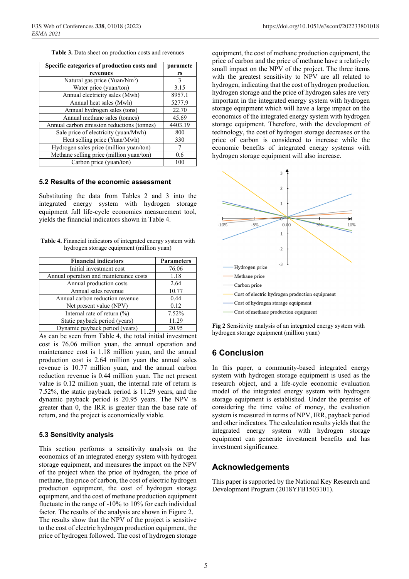**Table 3.** Data sheet on production costs and revenues

| Specific categories of production costs and | paramete |
|---------------------------------------------|----------|
| revenues                                    | rs       |
| Natural gas price (Yuan/Nm <sup>3</sup> )   | 3        |
| Water price (yuan/ton)                      | 3.15     |
| Annual electricity sales (Mwh)              | 8957.1   |
| Annual heat sales (Mwh)                     | 5277.9   |
| Annual hydrogen sales (tons)                | 22.70    |
| Annual methane sales (tonnes)               | 45.69    |
| Annual carbon emission reductions (tonnes)  | 4403.19  |
| Sale price of electricity (yuan/Mwh)        | 800      |
| Heat selling price (Yuan/Mwh)               | 330      |
| Hydrogen sales price (million yuan/ton)     |          |
| Methane selling price (million yuan/ton)    | 0.6      |
| Carbon price (yuan/ton)                     | 100      |

#### **5.2 Results of the economic assessment**

Substituting the data from Tables 2 and 3 into the integrated energy system with hydrogen storage equipment full life-cycle economics measurement tool, yields the financial indicators shown in Table 4.

**Table 4.** Financial indicators of integrated energy system with hydrogen storage equipment (million yuan)

| <b>Financial indicators</b>            | <b>Parameters</b> |
|----------------------------------------|-------------------|
| Initial investment cost                | 76.06             |
| Annual operation and maintenance costs | 1.18              |
| Annual production costs                | 2.64              |
| Annual sales revenue                   | 10.77             |
| Annual carbon reduction revenue        | 0.44              |
| Net present value (NPV)                | 0.12              |
| Internal rate of return (%)            | 7.52%             |
| Static payback period (years)          | 11.29             |
| Dynamic payback period (years)         | 20.95             |

As can be seen from Table 4, the total initial investment cost is 76.06 million yuan, the annual operation and maintenance cost is 1.18 million yuan, and the annual production cost is 2.64 million yuan the annual sales revenue is 10.77 million yuan, and the annual carbon reduction revenue is 0.44 million yuan. The net present value is 0.12 million yuan, the internal rate of return is 7.52%, the static payback period is 11.29 years, and the dynamic payback period is 20.95 years. The NPV is greater than 0, the IRR is greater than the base rate of return, and the project is economically viable.

### **5.3 Sensitivity analysis**

This section performs a sensitivity analysis on the economics of an integrated energy system with hydrogen storage equipment, and measures the impact on the NPV of the project when the price of hydrogen, the price of methane, the price of carbon, the cost of electric hydrogen production equipment, the cost of hydrogen storage equipment, and the cost of methane production equipment fluctuate in the range of -10% to 10% for each individual factor. The results of the analysis are shown in Figure 2. The results show that the NPV of the project is sensitive to the cost of electric hydrogen production equipment, the price of hydrogen followed. The cost of hydrogen storage

equipment, the cost of methane production equipment, the price of carbon and the price of methane have a relatively small impact on the NPV of the project. The three items with the greatest sensitivity to NPV are all related to hydrogen, indicating that the cost of hydrogen production, hydrogen storage and the price of hydrogen sales are very important in the integrated energy system with hydrogen storage equipment which will have a large impact on the economics of the integrated energy system with hydrogen storage equipment. Therefore, with the development of technology, the cost of hydrogen storage decreases or the price of carbon is considered to increase while the economic benefits of integrated energy systems with hydrogen storage equipment will also increase.



**Fig 2** Sensitivity analysis of an integrated energy system with hydrogen storage equipment (million yuan)

# **6 Conclusion**

In this paper, a community-based integrated energy system with hydrogen storage equipment is used as the research object, and a life-cycle economic evaluation model of the integrated energy system with hydrogen storage equipment is established. Under the premise of considering the time value of money, the evaluation system is measured in terms of NPV, IRR, payback period and other indicators. The calculation results yields that the integrated energy system with hydrogen storage equipment can generate investment benefits and has investment significance.

### **Acknowledgements**

This paper is supported by the National Key Research and Development Program (2018YFB1503101).